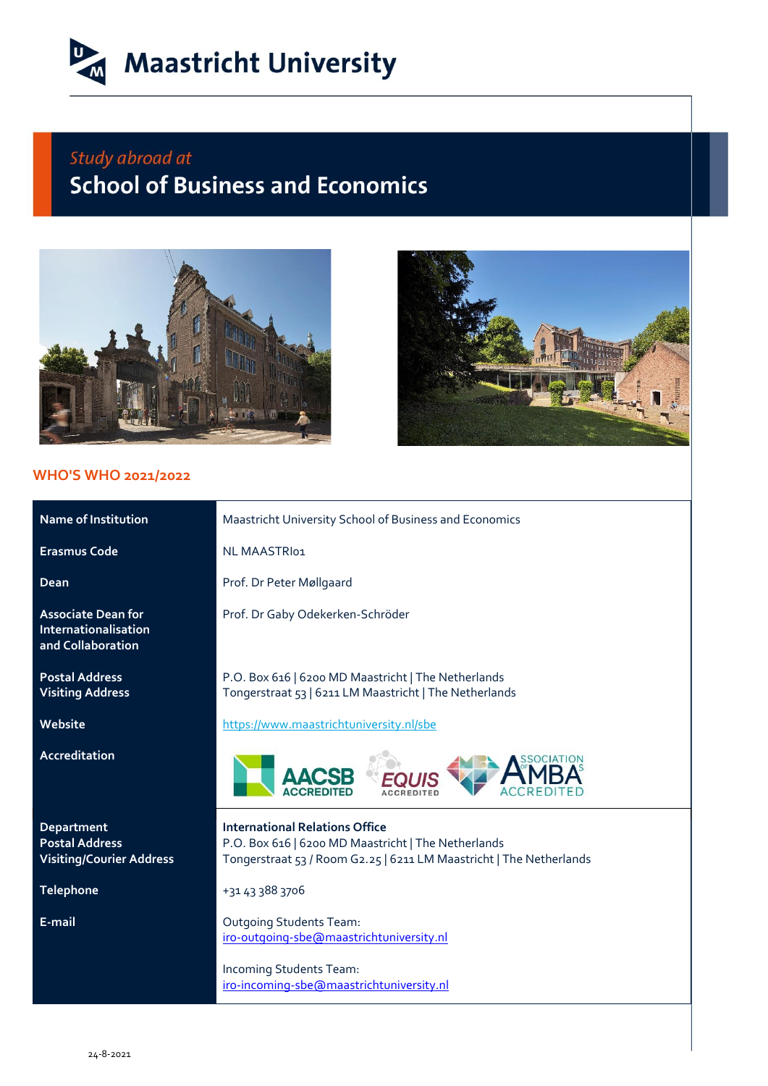

## Study abroad at **School of Business and Economics**



## **WHO'S WHO 2021/2022**



| <b>Name of Institution</b>                                             | Maastricht University School of Business and Economics                                                                                                              |  |
|------------------------------------------------------------------------|---------------------------------------------------------------------------------------------------------------------------------------------------------------------|--|
| <b>Erasmus Code</b>                                                    | NL MAASTRI01                                                                                                                                                        |  |
| Dean                                                                   | Prof. Dr Peter Møllgaard                                                                                                                                            |  |
| <b>Associate Dean for</b><br>Internationalisation<br>and Collaboration | Prof. Dr Gaby Odekerken-Schröder                                                                                                                                    |  |
| <b>Postal Address</b><br><b>Visiting Address</b>                       | P.O. Box 616   6200 MD Maastricht   The Netherlands<br>Tongerstraat 53   6211 LM Maastricht   The Netherlands                                                       |  |
| Website                                                                | https://www.maastrichtuniversity.nl/sbe                                                                                                                             |  |
| <b>Accreditation</b>                                                   |                                                                                                                                                                     |  |
| Department<br><b>Postal Address</b><br><b>Visiting/Courier Address</b> | <b>International Relations Office</b><br>P.O. Box 616   6200 MD Maastricht   The Netherlands<br>Tongerstraat 53 / Room G2.25   6211 LM Maastricht   The Netherlands |  |
| <b>Telephone</b>                                                       | +31 43 388 3706                                                                                                                                                     |  |
| E-mail                                                                 | <b>Outgoing Students Team:</b><br>iro-outgoing-sbe@maastrichtuniversity.nl                                                                                          |  |
|                                                                        | Incoming Students Team:<br>iro-incoming-sbe@maastrichtuniversity.nl                                                                                                 |  |
|                                                                        |                                                                                                                                                                     |  |